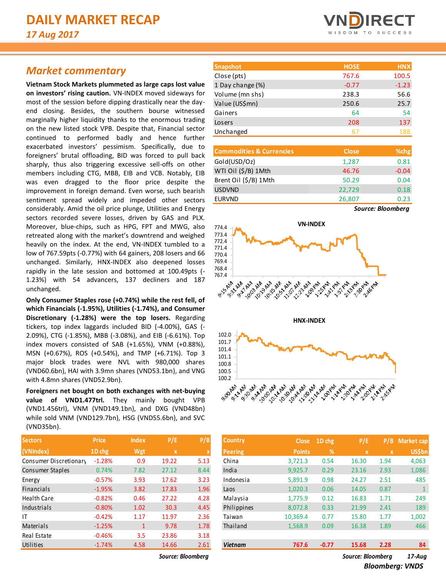## *Market commentary*

**Vietnam Stock Markets plummeted as large caps lost value on investors' rising caution.** VN-INDEX moved sideways for most of the session before dipping drastically near the dayend closing. Besides, the southern bourse witnessed marginally higher liquidity thanks to the enormous trading on the new listed stock VPB. Despite that, Financial sector continued to performed badly and hence further exacerbated investors' pessimism. Specifically, due to foreigners' brutal offloading, BID was forced to pull back sharply, thus also triggering excessive sell-offs on other members including CTG, MBB, EIB and VCB. Notably, EIB was even dragged to the floor price despite the improvement in foreign demand. Even worse, such bearish sentiment spread widely and impeded other sectors considerably. Amid the oil price plunge, Utilities and Energy sectors recorded severe losses, driven by GAS and PLX. Moreover, blue-chips, such as HPG, FPT and MWG, also retreated along with the market's downtrend and weighed heavily on the index. At the end, VN-INDEX tumbled to a low of 767.59pts (-0.77%) with 64 gainers, 208 losers and 66 unchanged. Similarly, HNX-INDEX also deepened losses rapidly in the late session and bottomed at 100.49pts (- 1.23%) with 54 advancers, 137 decliners and 187 unchanged.

**Only Consumer Staples rose (+0.74%) while the rest fell, of which Financials (-1.95%), Utilities (-1.74%), and Consumer Discretionary (-1.28%) were the top losers.** Regarding tickers, top index laggards included BID (-4.00%), GAS (- 2.09%), CTG (-1.85%), MBB (-3.08%), and EIB (-6.61%). Top index movers consisted of SAB (+1.65%), VNM (+0.88%), MSN (+0.67%), ROS (+0.54%), and TMP (+6.71%). Top 3 major block trades were NVL with 980,000 shares (VND60.6bn), HAI with 3.9mn shares (VND53.1bn), and VNG with 4.8mn shares (VND52.9bn).

**Foreigners net bought on both exchanges with net-buying value of VND1.477trl.** They mainly bought VPB (VND1.456trl), VNM (VND149.1bn), and DXG (VND48bn) while sold VNM (VND129.7bn), HSG (VND55.6bn), and SVC (VND35bn).

| <b>Sectors</b>         | <b>Price</b> | <b>Index</b> | P/E   | P/B  |
|------------------------|--------------|--------------|-------|------|
| (VNIndex)              | 1D chg       | Wgt          | X     | X    |
| Consumer Discretionary | $-1.28%$     | 0.9          | 19.22 | 5.13 |
| Consumer Staples       | 0.74%        | 7.82         | 27.12 | 8.44 |
| Energy                 | $-0.57%$     | 3.93         | 17.62 | 3.23 |
| <b>Financials</b>      | $-1.95%$     | 3.82         | 17.83 | 1.96 |
| <b>Health Care</b>     | $-0.82%$     | 0.46         | 27.22 | 4.28 |
| Industrials            | $-0.80%$     | 1.02         | 30.3  | 4.45 |
| ΙT                     | $-0.42%$     | 1.17         | 11.97 | 2.36 |
| Materials              | $-1.25%$     | 1            | 9.78  | 1.78 |
| Real Estate            | $-0.46%$     | 3.5          | 23.86 | 3.18 |
| Utilities              | $-1.74%$     | 4.58         | 14.66 | 2.61 |



| <b>Commodities &amp; Currencies</b> | <b>Close</b> | % <sub>chg</sub> |
|-------------------------------------|--------------|------------------|
| Gold(USD/Oz)                        | 1,287        | 0.81             |
| WTI Oil (\$/B) 1Mth                 | 46.76        | $-0.04$          |
| Brent Oil (\$/B) 1Mth               | 50.29        | 0.04             |
| <b>USDVND</b>                       | 22,729       | 0.18             |
| <b>EURVND</b>                       | 26,807       | 0.23             |
|                                     |              |                  |





| <b>Sectors</b>         | <b>Price</b> | <b>Index</b> | P/E               | P/B  | Country        | <b>Close</b>  | 1D chg  | P/E               |              | P/B Market cap |
|------------------------|--------------|--------------|-------------------|------|----------------|---------------|---------|-------------------|--------------|----------------|
| (VNIndex)              | 1D chg       | Wgt          | X                 |      | <b>Peering</b> | <b>Points</b> | %       | $\mathbf{x}$      | $\mathbf{x}$ | <b>US\$bn</b>  |
| Consumer Discretionary | $-1.28%$     | 0.9          | 19.22             | 5.13 | China          | 3,721.3       | 0.54    | 16.30             | 1.94         | 4,063          |
| Consumer Staples       | 0.74%        | 7.82         | 27.12             | 8.44 | India          | 9.925.7       | 0.29    | 23.16             | 2.93         | 1,086          |
| Energy                 | $-0.57%$     | 3.93         | 17.62             | 3.23 | Indonesia      | 5,891.9       | 0.98    | 24.27             | 2.51         | 485            |
| Financials             | $-1.95%$     | 3.82         | 17.83             | 1.96 | Laos           | 1.020.3       | 0.06    | 14.05             | 0.87         |                |
| Health Care            | $-0.82%$     | 0.46         | 27.22             | 4.28 | Malaysia       | 1.775.9       | 0.12    | 16.83             | 1.71         | 249            |
| Industrials            | $-0.80%$     | 1.02         | 30.3              | 4.45 | Philippines    | 8.072.8       | 0.33    | 21.99             | 2.41         | 189            |
| ΙT                     | $-0.42%$     | 1.17         | 11.97             | 2.36 | Taiwan         | 10,369.4      | 0.77    | 15.80             | 1.77         | 1,002          |
| Materials              | $-1.25%$     | $\mathbf{1}$ | 9.78              | 1.78 | Thailand       | 1,568.9       | 0.09    | 16.38             | 1.89         | 466            |
| Real Estate            | $-0.46%$     | 3.5          | 23.86             | 3.18 |                |               |         |                   |              |                |
| Utilities              | $-1.74%$     | 4.58         | 14.66             | 2.61 | <b>Vietnam</b> | 767.6         | $-0.77$ | 15.68             | 2.28         | 84             |
|                        |              |              | Source: Bloomberg |      |                |               |         | Source: Bloomberg | $17$ -Aug    |                |

*Source: Bloomberg Source: Bloomberg 17-Aug*

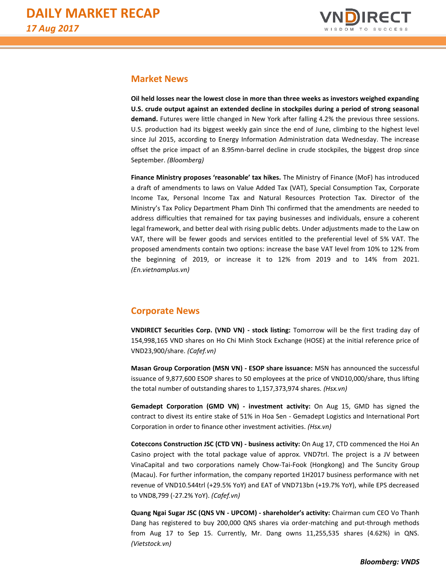

### **Market News**

**Oil held losses near the lowest close in more than three weeks as investors weighed expanding U.S. crude output against an extended decline in stockpiles during a period of strong seasonal demand.** Futures were little changed in New York after falling 4.2% the previous three sessions. U.S. production had its biggest weekly gain since the end of June, climbing to the highest level since Jul 2015, according to Energy Information Administration data Wednesday. The increase offset the price impact of an 8.95mn-barrel decline in crude stockpiles, the biggest drop since September. *(Bloomberg)*

**Finance Ministry proposes 'reasonable' tax hikes.** The Ministry of Finance (MoF) has introduced a draft of amendments to laws on Value Added Tax (VAT), Special Consumption Tax, Corporate Income Tax, Personal Income Tax and Natural Resources Protection Tax. Director of the Ministry's Tax Policy Department Pham Dinh Thi confirmed that the amendments are needed to address difficulties that remained for tax paying businesses and individuals, ensure a coherent legal framework, and better deal with rising public debts. Under adjustments made to the Law on VAT, there will be fewer goods and services entitled to the preferential level of 5% VAT. The proposed amendments contain two options: increase the base VAT level from 10% to 12% from the beginning of 2019, or increase it to 12% from 2019 and to 14% from 2021. *(En.vietnamplus.vn)*

#### **Corporate News**

**VNDIRECT Securities Corp. (VND VN) - stock listing:** Tomorrow will be the first trading day of 154,998,165 VND shares on Ho Chi Minh Stock Exchange (HOSE) at the initial reference price of VND23,900/share. *(Cafef.vn)*

**Masan Group Corporation (MSN VN) - ESOP share issuance:** MSN has announced the successful issuance of 9,877,600 ESOP shares to 50 employees at the price of VND10,000/share, thus lifting the total number of outstanding shares to 1,157,373,974 shares. *(Hsx.vn)*

**Gemadept Corporation (GMD VN) - investment activity:** On Aug 15, GMD has signed the contract to divest its entire stake of 51% in Hoa Sen - Gemadept Logistics and International Port Corporation in order to finance other investment activities. *(Hsx.vn)*

**Coteccons Construction JSC (CTD VN) - business activity:** On Aug 17, CTD commenced the Hoi An Casino project with the total package value of approx. VND7trl. The project is a JV between VinaCapital and two corporations namely Chow-Tai-Fook (Hongkong) and The Suncity Group (Macau). For further information, the company reported 1H2017 business performance with net revenue of VND10.544trl (+29.5% YoY) and EAT of VND713bn (+19.7% YoY), while EPS decreased to VND8,799 (-27.2% YoY). *(Cafef.vn)*

**Quang Ngai Sugar JSC (QNS VN - UPCOM) - shareholder's activity:** Chairman cum CEO Vo Thanh Dang has registered to buy 200,000 QNS shares via order-matching and put-through methods from Aug 17 to Sep 15. Currently, Mr. Dang owns 11,255,535 shares (4.62%) in QNS. *(Vietstock.vn)*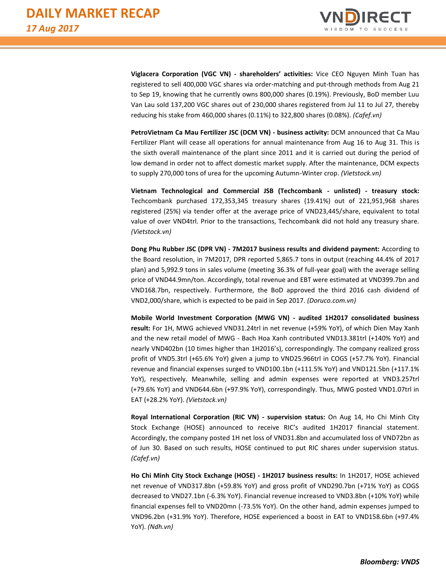

**Viglacera Corporation (VGC VN) - shareholders' activities:** Vice CEO Nguyen Minh Tuan has registered to sell 400,000 VGC shares via order-matching and put-through methods from Aug 21 to Sep 19, knowing that he currently owns 800,000 shares (0.19%). Previously, BoD member Luu Van Lau sold 137,200 VGC shares out of 230,000 shares registered from Jul 11 to Jul 27, thereby reducing his stake from 460,000 shares (0.11%) to 322,800 shares (0.08%). *(Cafef.vn)*

**PetroVietnam Ca Mau Fertilizer JSC (DCM VN) - business activity:** DCM announced that Ca Mau Fertilizer Plant will cease all operations for annual maintenance from Aug 16 to Aug 31. This is the sixth overall maintenance of the plant since 2011 and it is carried out during the period of low demand in order not to affect domestic market supply. After the maintenance, DCM expects to supply 270,000 tons of urea for the upcoming Autumn-Winter crop. *(Vietstock.vn)*

**Vietnam Technological and Commercial JSB (Techcombank - unlisted) - treasury stock:** Techcombank purchased 172,353,345 treasury shares (19.41%) out of 221,951,968 shares registered (25%) via tender offer at the average price of VND23,445/share, equivalent to total value of over VND4trl. Prior to the transactions, Techcombank did not hold any treasury share. *(Vietstock.vn)*

**Dong Phu Rubber JSC (DPR VN) - 7M2017 business results and dividend payment:** According to the Board resolution, in 7M2017, DPR reported 5,865.7 tons in output (reaching 44.4% of 2017 plan) and 5,992.9 tons in sales volume (meeting 36.3% of full-year goal) with the average selling price of VND44.9mn/ton. Accordingly, total revenue and EBT were estimated at VND399.7bn and VND168.7bn, respectively. Furthermore, the BoD approved the third 2016 cash dividend of VND2,000/share, which is expected to be paid in Sep 2017. *(Doruco.com.vn)*

**Mobile World Investment Corporation (MWG VN) - audited 1H2017 consolidated business result:** For 1H, MWG achieved VND31.24trl in net revenue (+59% YoY), of which Dien May Xanh and the new retail model of MWG - Bach Hoa Xanh contributed VND13.381trl (+140% YoY) and nearly VND402bn (10 times higher than 1H2016's), correspondingly. The company realized gross profit of VND5.3trl (+65.6% YoY) given a jump to VND25.966trl in COGS (+57.7% YoY). Financial revenue and financial expenses surged to VND100.1bn (+111.5% YoY) and VND121.5bn (+117.1% YoY), respectively. Meanwhile, selling and admin expenses were reported at VND3.257trl (+79.6% YoY) and VND644.6bn (+97.9% YoY), correspondingly. Thus, MWG posted VND1.07trl in EAT (+28.2% YoY). *(Vietstock.vn)*

**Royal International Corporation (RIC VN) - supervision status:** On Aug 14, Ho Chi Minh City Stock Exchange (HOSE) announced to receive RIC's audited 1H2017 financial statement. Accordingly, the company posted 1H net loss of VND31.8bn and accumulated loss of VND72bn as of Jun 30. Based on such results, HOSE continued to put RIC shares under supervision status. *(Cafef.vn)*

**Ho Chi Minh City Stock Exchange (HOSE) - 1H2017 business results:** In 1H2017, HOSE achieved net revenue of VND317.8bn (+59.8% YoY) and gross profit of VND290.7bn (+71% YoY) as COGS decreased to VND27.1bn (-6.3% YoY). Financial revenue increased to VND3.8bn (+10% YoY) while financial expenses fell to VND20mn (-73.5% YoY). On the other hand, admin expenses jumped to VND96.2bn (+31.9% YoY). Therefore, HOSE experienced a boost in EAT to VND158.6bn (+97.4% YoY). *(Ndh.vn)*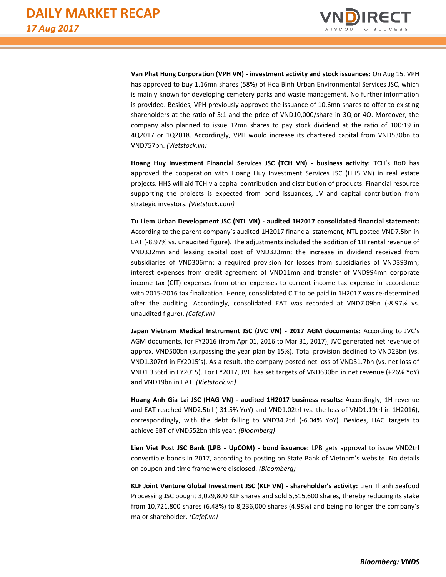

**Van Phat Hung Corporation (VPH VN) - investment activity and stock issuances:** On Aug 15, VPH has approved to buy 1.16mn shares (58%) of Hoa Binh Urban Environmental Services JSC, which is mainly known for developing cemetery parks and waste management. No further information is provided. Besides, VPH previously approved the issuance of 10.6mn shares to offer to existing shareholders at the ratio of 5:1 and the price of VND10,000/share in 3Q or 4Q. Moreover, the company also planned to issue 12mn shares to pay stock dividend at the ratio of 100:19 in 4Q2017 or 1Q2018. Accordingly, VPH would increase its chartered capital from VND530bn to VND757bn. *(Vietstock.vn)*

**Hoang Huy Investment Financial Services JSC (TCH VN) - business activity:** TCH's BoD has approved the cooperation with Hoang Huy Investment Services JSC (HHS VN) in real estate projects. HHS will aid TCH via capital contribution and distribution of products. Financial resource supporting the projects is expected from bond issuances, JV and capital contribution from strategic investors. *(Vietstock.com)*

**Tu Liem Urban Development JSC (NTL VN) - audited 1H2017 consolidated financial statement:** According to the parent company's audited 1H2017 financial statement, NTL posted VND7.5bn in EAT (-8.97% vs. unaudited figure). The adjustments included the addition of 1H rental revenue of VND332mn and leasing capital cost of VND323mn; the increase in dividend received from subsidiaries of VND306mn; a required provision for losses from subsidiaries of VND393mn; interest expenses from credit agreement of VND11mn and transfer of VND994mn corporate income tax (CIT) expenses from other expenses to current income tax expense in accordance with 2015-2016 tax finalization. Hence, consolidated CIT to be paid in 1H2017 was re-determined after the auditing. Accordingly, consolidated EAT was recorded at VND7.09bn (-8.97% vs. unaudited figure). *(Cafef.vn)*

**Japan Vietnam Medical Instrument JSC (JVC VN) - 2017 AGM documents:** According to JVC's AGM documents, for FY2016 (from Apr 01, 2016 to Mar 31, 2017), JVC generated net revenue of approx. VND500bn (surpassing the year plan by 15%). Total provision declined to VND23bn (vs. VND1.307trl in FY2015's). As a result, the company posted net loss of VND31.7bn (vs. net loss of VND1.336trl in FY2015). For FY2017, JVC has set targets of VND630bn in net revenue (+26% YoY) and VND19bn in EAT. *(Vietstock.vn)*

**Hoang Anh Gia Lai JSC (HAG VN) - audited 1H2017 business results:** Accordingly, 1H revenue and EAT reached VND2.5trl (-31.5% YoY) and VND1.02trl (vs. the loss of VND1.19trl in 1H2016), correspondingly, with the debt falling to VND34.2trl (-6.04% YoY). Besides, HAG targets to achieve EBT of VND552bn this year. *(Bloomberg)*

**Lien Viet Post JSC Bank (LPB - UpCOM) - bond issuance:** LPB gets approval to issue VND2trl convertible bonds in 2017, according to posting on State Bank of Vietnam's website. No details on coupon and time frame were disclosed. *(Bloomberg)*

**KLF Joint Venture Global Investment JSC (KLF VN) - shareholder's activity:** Lien Thanh Seafood Processing JSC bought 3,029,800 KLF shares and sold 5,515,600 shares, thereby reducing its stake from 10,721,800 shares (6.48%) to 8,236,000 shares (4.98%) and being no longer the company's major shareholder. *(Cafef.vn)*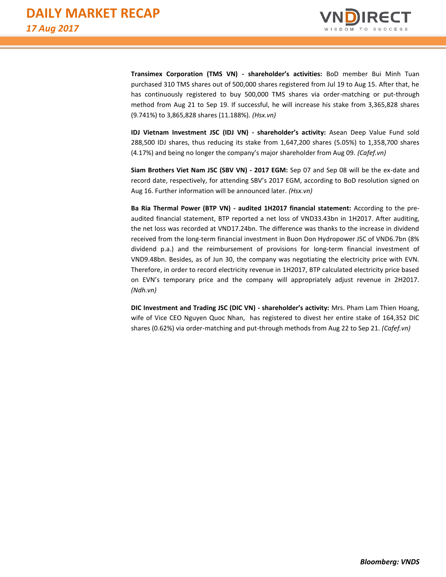

**Transimex Corporation (TMS VN) - shareholder's activities:** BoD member Bui Minh Tuan purchased 310 TMS shares out of 500,000 shares registered from Jul 19 to Aug 15. After that, he has continuously registered to buy 500,000 TMS shares via order-matching or put-through method from Aug 21 to Sep 19. If successful, he will increase his stake from 3,365,828 shares (9.741%) to 3,865,828 shares (11.188%). *(Hsx.vn)*

**IDJ Vietnam Investment JSC (IDJ VN) - shareholder's activity:** Asean Deep Value Fund sold 288,500 IDJ shares, thus reducing its stake from 1,647,200 shares (5.05%) to 1,358,700 shares (4.17%) and being no longer the company's major shareholder from Aug 09. *(Cafef.vn)*

**Siam Brothers Viet Nam JSC (SBV VN) - 2017 EGM:** Sep 07 and Sep 08 will be the ex-date and record date, respectively, for attending SBV's 2017 EGM, according to BoD resolution signed on Aug 16. Further information will be announced later. *(Hsx.vn)*

**Ba Ria Thermal Power (BTP VN) - audited 1H2017 financial statement:** According to the preaudited financial statement, BTP reported a net loss of VND33.43bn in 1H2017. After auditing, the net loss was recorded at VND17.24bn. The difference was thanks to the increase in dividend received from the long-term financial investment in Buon Don Hydropower JSC of VND6.7bn (8% dividend p.a.) and the reimbursement of provisions for long-term financial investment of VND9.48bn. Besides, as of Jun 30, the company was negotiating the electricity price with EVN. Therefore, in order to record electricity revenue in 1H2017, BTP calculated electricity price based on EVN's temporary price and the company will appropriately adjust revenue in 2H2017. *(Ndh.vn)*

**DIC Investment and Trading JSC (DIC VN) - shareholder's activity:** Mrs. Pham Lam Thien Hoang, wife of Vice CEO Nguyen Quoc Nhan, has registered to divest her entire stake of 164,352 DIC shares (0.62%) via order-matching and put-through methods from Aug 22 to Sep 21. *(Cafef.vn)*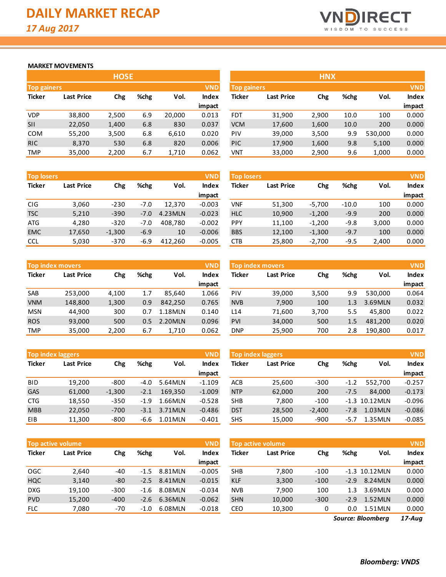

#### **MARKET MOVEMENTS**

|                    | <b>HOSE</b>       |       |      |        |              |  |  |  |  |  |  |  |
|--------------------|-------------------|-------|------|--------|--------------|--|--|--|--|--|--|--|
| <b>Top gainers</b> |                   |       |      |        | <b>VND</b>   |  |  |  |  |  |  |  |
| <b>Ticker</b>      | <b>Last Price</b> | Chg   | %chg | Vol.   | <b>Index</b> |  |  |  |  |  |  |  |
|                    |                   |       |      |        | impact       |  |  |  |  |  |  |  |
| <b>VDP</b>         | 38,800            | 2,500 | 6.9  | 20,000 | 0.013        |  |  |  |  |  |  |  |
| <b>SII</b>         | 22,050            | 1,400 | 6.8  | 830    | 0.037        |  |  |  |  |  |  |  |
| <b>COM</b>         | 55,200            | 3,500 | 6.8  | 6,610  | 0.020        |  |  |  |  |  |  |  |
| <b>RIC</b>         | 8,370             | 530   | 6.8  | 820    | 0.006        |  |  |  |  |  |  |  |
| <b>TMP</b>         | 35,000            | 2,200 | 6.7  | 1,710  | 0.062        |  |  |  |  |  |  |  |

| <b>Top losers</b> |                   |          |        |         | <b>VND</b>   |
|-------------------|-------------------|----------|--------|---------|--------------|
| <b>Ticker</b>     | <b>Last Price</b> | Chg      | %chg   | Vol.    | <b>Index</b> |
|                   |                   |          |        |         | impact       |
| <b>CIG</b>        | 3,060             | $-230$   | $-7.0$ | 12,370  | $-0.003$     |
| <b>TSC</b>        | 5,210             | $-390$   | $-7.0$ | 4.23MLN | $-0.023$     |
| <b>ATG</b>        | 4,280             | $-320$   | $-7.0$ | 408,780 | $-0.002$     |
| <b>EMC</b>        | 17,650            | $-1,300$ | $-6.9$ | 10      | $-0.006$     |
| CCL               | 5,030             | $-370$   | $-6.9$ | 412.260 | $-0.005$     |

|               | <b>Top index movers</b> |       |             |         | <b>VND</b>   |
|---------------|-------------------------|-------|-------------|---------|--------------|
| <b>Ticker</b> | <b>Last Price</b>       |       | %chg<br>Chg |         | <b>Index</b> |
|               |                         |       |             |         | impact       |
| <b>SAB</b>    | 253,000                 | 4,100 | 1.7         | 85,640  | 1.066        |
| <b>VNM</b>    | 148,800                 | 1,300 | 0.9         | 842,250 | 0.765        |
| <b>MSN</b>    | 44.900                  | 300   | 0.7         | 1.18MLN | 0.140        |
| <b>ROS</b>    | 93,000                  | 500   | 0.5         | 2.20MLN | 0.096        |
| <b>TMP</b>    | 35,000                  | 2,200 | 6.7         | 1,710   | 0.062        |

|               | <b>VND</b><br><b>Top index laggers</b> |          |        |         |              |  |  |  |  |  |  |  |  |
|---------------|----------------------------------------|----------|--------|---------|--------------|--|--|--|--|--|--|--|--|
| <b>Ticker</b> | <b>Last Price</b>                      | Chg      | %chg   | Vol.    | <b>Index</b> |  |  |  |  |  |  |  |  |
|               |                                        |          |        |         | impact       |  |  |  |  |  |  |  |  |
| <b>BID</b>    | 19,200                                 | $-800$   | $-4.0$ | 5.64MLN | $-1.109$     |  |  |  |  |  |  |  |  |
| <b>GAS</b>    | 61,000                                 | $-1,300$ | $-2.1$ | 169,350 | $-1.009$     |  |  |  |  |  |  |  |  |
| <b>CTG</b>    | 18,550                                 | $-350$   | $-1.9$ | 1.66MLN | $-0.528$     |  |  |  |  |  |  |  |  |
| <b>MBB</b>    | 22,050                                 | $-700$   | $-3.1$ | 3.71MLN | $-0.486$     |  |  |  |  |  |  |  |  |
| EIB           | 11,300                                 | $-800$   | $-6.6$ | 1.01MLN | $-0.401$     |  |  |  |  |  |  |  |  |

|               | <b>VND</b><br><b>Top active volume</b> |        |        |         |          |               | <b>Top active volume</b> |        |        |          | <b>VND</b> |
|---------------|----------------------------------------|--------|--------|---------|----------|---------------|--------------------------|--------|--------|----------|------------|
| <b>Ticker</b> | Last Price                             | Chg    | %chg   | Vol.    | Index    | <b>Ticker</b> | <b>Last Price</b>        | Chg    | %chg   | Vol.     | Index      |
|               |                                        |        |        |         | impact   |               |                          |        |        |          | impact     |
| <b>OGC</b>    | 2.640                                  | $-40$  | -1.5   | 8.81MLN | $-0.005$ | <b>SHB</b>    | 7.800                    | $-100$ | $-1.3$ | 10.12MLN | 0.000      |
| <b>HQC</b>    | 3,140                                  | $-80$  | $-2.5$ | 8.41MLN | $-0.015$ | <b>KLF</b>    | 3,300                    | $-100$ | $-2.9$ | 8.24MLN  | 0.000      |
| <b>DXG</b>    | 19.100                                 | $-300$ | -1.6   | 8.08MLN | $-0.034$ | <b>NVB</b>    | 7.900                    | 100    | 1.3    | 3.69MLN  | 0.000      |
| <b>PVD</b>    | 15,200                                 | $-400$ | $-2.6$ | 6.36MLN | $-0.062$ | <b>SHN</b>    | 10,000                   | $-300$ | $-2.9$ | 1.52MLN  | 0.000      |
| <b>FLC</b>    | 7,080                                  | -70    | $-1.0$ | 6.08MLN | $-0.018$ | <b>CEO</b>    | 10,300                   | 0      | 0.0    | 1.51MLN  | 0.000      |

|                           |                   | <b>HOSE</b> |      |        |              | <b>HNX</b> |                   |       |      |         |              |
|---------------------------|-------------------|-------------|------|--------|--------------|------------|-------------------|-------|------|---------|--------------|
| <b>VND</b><br>Top gainers |                   |             |      |        |              |            | Top gainers       |       |      |         |              |
| Ticker                    | <b>Last Price</b> | Chg         | %chg | Vol.   | <b>Index</b> | Ticker     | <b>Last Price</b> | Chg   | %chg | Vol.    | <b>Index</b> |
|                           |                   |             |      |        | impact       |            |                   |       |      |         | impact       |
| VDP.                      | 38,800            | 2,500       | 6.9  | 20,000 | 0.013        | <b>FDT</b> | 31,900            | 2,900 | 10.0 | 100     | 0.000        |
| SII                       | 22,050            | 1,400       | 6.8  | 830    | 0.037        | <b>VCM</b> | 17,600            | 1,600 | 10.0 | 200     | 0.000        |
| COM                       | 55,200            | 3,500       | 6.8  | 6,610  | 0.020        | <b>PIV</b> | 39,000            | 3,500 | 9.9  | 530,000 | 0.000        |
| <b>RIC</b>                | 8,370             | 530         | 6.8  | 820    | 0.006        | <b>PIC</b> | 17,900            | 1,600 | 9.8  | 5,100   | 0.000        |
| TMP                       | 35,000            | 2,200       | 6.7  | 1,710  | 0.062        | <b>VNT</b> | 33,000            | 2,900 | 9.6  | 1,000   | 0.000        |

| <b>Top losers</b> |                   |          |        |         | <b>VND</b> | <b>Top losers</b> |                   |          |         |       | <b>VND</b>   |
|-------------------|-------------------|----------|--------|---------|------------|-------------------|-------------------|----------|---------|-------|--------------|
| Ticker            | <b>Last Price</b> | Chg      | %chg   | Vol.    | Index      | <b>Ticker</b>     | <b>Last Price</b> | Chg      | %chg    | Vol.  | <b>Index</b> |
|                   |                   |          |        |         | impact     |                   |                   |          |         |       | impact       |
| CIG               | 3,060             | $-230$   | $-7.0$ | 12.370  | $-0.003$   | <b>VNF</b>        | 51,300            | $-5,700$ | $-10.0$ | 100   | 0.000        |
| TSC               | 5,210             | $-390$   | -7.0   | 4.23MLN | $-0.023$   | <b>HLC</b>        | 10,900            | $-1,200$ | $-9.9$  | 200   | 0.000        |
| ATG               | 4,280             | $-320$   | -7.0   | 408.780 | $-0.002$   | <b>PPY</b>        | 11,100            | $-1,200$ | $-9.8$  | 3,000 | 0.000        |
| <b>EMC</b>        | 17,650            | $-1,300$ | $-6.9$ | 10      | $-0.006$   | <b>BBS</b>        | 12,100            | $-1,300$ | $-9.7$  | 100   | 0.000        |
| CCL               | 5,030             | $-370$   | $-6.9$ | 412,260 | $-0.005$   | CTB               | 25,800            | $-2,700$ | $-9.5$  | 2,400 | 0.000        |

| <b>VND</b><br><b>Index</b><br>Vol. |
|------------------------------------|
|                                    |
|                                    |
| impact                             |
| 530.000<br>0.064                   |
| 0.032<br>3.69MLN                   |
| 0.022<br>45.800                    |
| 0.020<br>481,200                   |
| 190.800<br>0.017                   |
|                                    |

| <b>Top index laggers</b> |                   |          |        |         | <b>VND</b> | Top index laggers |                   |          |        |                 | <b>VND</b>   |  |
|--------------------------|-------------------|----------|--------|---------|------------|-------------------|-------------------|----------|--------|-----------------|--------------|--|
| Ticker                   | <b>Last Price</b> | Chg      | %chg   | Vol.    | Index      | Ticker            | <b>Last Price</b> | Chg      | %chg   | Vol.            | <b>Index</b> |  |
|                          |                   |          |        |         | impact     |                   |                   |          |        |                 | impact       |  |
| <b>BID</b>               | 19.200            | $-800$   | -4.0   | 5.64MLN | $-1.109$   | <b>ACB</b>        | 25,600            | $-300$   | $-1.2$ | 552.700         | $-0.257$     |  |
| <b>GAS</b>               | 61,000            | $-1,300$ | $-2.1$ | 169.350 | $-1.009$   | <b>NTP</b>        | 62,000            | 200      | $-7.5$ | 84,000          | $-0.173$     |  |
| CTG                      | 18,550            | $-350$   | $-1.9$ | 1.66MLN | $-0.528$   | <b>SHB</b>        | 7,800             | $-100$   |        | $-1.3$ 10.12MLN | $-0.096$     |  |
| <b>MBB</b>               | 22,050            | $-700$   | $-3.1$ | 3.71MLN | $-0.486$   | <b>DST</b>        | 28,500            | $-2.400$ | $-7.8$ | $1.03$ MLN      | $-0.086$     |  |
| EIB.                     | 11,300            | $-800$   | -6.6   | 1.01MLN | $-0.401$   | <b>SHS</b>        | 15,000            | $-900$   | $-5.7$ | 1.35MLN         | $-0.085$     |  |

| <b>Top active volume</b> |                   |        |        |                 |              |  |  |  |  |  |  |  |  |
|--------------------------|-------------------|--------|--------|-----------------|--------------|--|--|--|--|--|--|--|--|
| <b>Ticker</b>            | <b>Last Price</b> | Chg    | %chg   | Vol.            | <b>Index</b> |  |  |  |  |  |  |  |  |
|                          |                   |        |        |                 | impact       |  |  |  |  |  |  |  |  |
| <b>SHB</b>               | 7,800             | $-100$ |        | $-1.3$ 10.12MLN | 0.000        |  |  |  |  |  |  |  |  |
| <b>KLF</b>               | 3,300             | $-100$ | $-2.9$ | 8.24MLN         | 0.000        |  |  |  |  |  |  |  |  |
| <b>NVB</b>               | 7,900             | 100    | 1.3    | 3.69MLN         | 0.000        |  |  |  |  |  |  |  |  |
| <b>SHN</b>               | 10,000            | $-300$ | $-2.9$ | 1.52MLN         | 0.000        |  |  |  |  |  |  |  |  |
| CEO                      | 10,300            | 0      | 0.0    | 1.51MLN         | 0.000        |  |  |  |  |  |  |  |  |

*17-Aug Source: Bloomberg*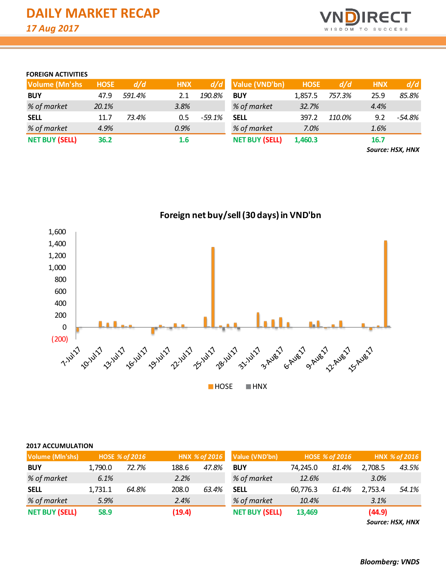

#### **FOREIGN ACTIVITIES**

| <b>Volume (Mn'shs</b> | <b>HOSE</b> | d/d    | <b>HNX</b>       |          | $d/d$ Value (VND'bn)  | <b>HOSE</b> | d/d    | <b>HNX</b> | d/d    |
|-----------------------|-------------|--------|------------------|----------|-----------------------|-------------|--------|------------|--------|
| <b>BUY</b>            | 47.9        | 591.4% | 2.1              | 190.8%   | <b>BUY</b>            | 1,857.5     | 757.3% | 25.9       | 85.8%  |
| % of market           | 20.1%       |        | 3.8%             |          | % of market           | 32.7%       |        | 4.4%       |        |
| <b>SELL</b>           | 11.7        | 73.4%  | 0.5              | $-59.1%$ | <b>SELL</b>           | 397.2       | 110.0% | 9.2        | -54.8% |
| % of market           | 4.9%        |        | 0.9%             |          | % of market           | 7.0%        |        | 1.6%       |        |
| <b>NET BUY (SELL)</b> | 36.2        |        | 1.6 <sub>1</sub> |          | <b>NET BUY (SELL)</b> | 1,460.3     |        | 16.7       |        |

*Source: HSX, HNX*



|  |  |  | <b>2017 ACCUMULATION</b> |
|--|--|--|--------------------------|
|--|--|--|--------------------------|

| <b>Volume (MIn'shs)</b> |         | HOSE % of 2016 |        | HNX % of 2016 | Value (VND'bn)        | <b>HOSE % of 2016</b> |       |         | HNX % of 2016 |
|-------------------------|---------|----------------|--------|---------------|-----------------------|-----------------------|-------|---------|---------------|
| <b>BUY</b>              | 1,790.0 | 72.7%          | 188.6  | 47.8%         | <b>BUY</b>            | 74,245.0              | 81.4% | 2,708.5 | 43.5%         |
| % of market             | 6.1%    |                | 2.2%   |               | % of market           | 12.6%                 |       | 3.0%    |               |
| <b>SELL</b>             | 1,731.1 | 64.8%          | 208.0  | 63.4%         | <b>SELL</b>           | 60,776.3              | 61.4% | 2,753.4 | 54.1%         |
| % of market             | 5.9%    |                | 2.4%   |               | % of market           | 10.4%                 |       | 3.1%    |               |
| <b>NET BUY (SELL)</b>   | 58.9    |                | (19.4) |               | <b>NET BUY (SELL)</b> | 13,469                |       | (44.9)  |               |

*Source: HSX, HNX*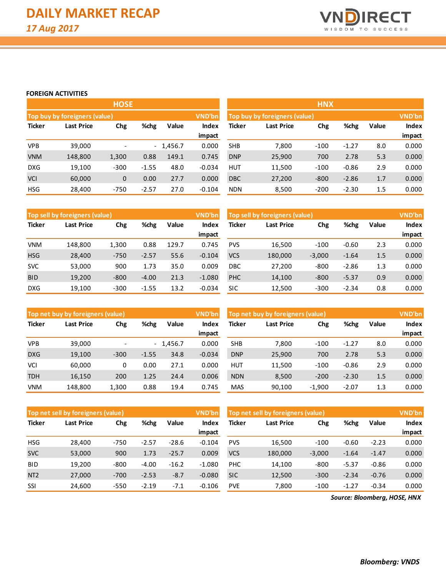

#### **FOREIGN ACTIVITIES**

|               |                                  | <b>HOSE</b>              |         |            |               | <b>HNX</b>                                |        |        |         |       |        |  |
|---------------|----------------------------------|--------------------------|---------|------------|---------------|-------------------------------------------|--------|--------|---------|-------|--------|--|
|               | Top buy by foreigners (value)    |                          |         |            | VND'bn        | VND'bn<br>Top buy by foreigners (value)   |        |        |         |       |        |  |
| <b>Ticker</b> | Chg<br>%chg<br><b>Last Price</b> |                          | Value   | Index      | <b>Ticker</b> | %chg<br>Chg<br>Value<br><b>Last Price</b> |        |        |         | Index |        |  |
|               |                                  |                          |         |            | impact        |                                           |        |        |         |       | impact |  |
| <b>VPB</b>    | 39,000                           | $\overline{\phantom{0}}$ |         | $-1,456.7$ | 0.000         | <b>SHB</b>                                | 7,800  | $-100$ | $-1.27$ | 8.0   | 0.000  |  |
| <b>VNM</b>    | 148,800                          | 1,300                    | 0.88    | 149.1      | 0.745         | <b>DNP</b>                                | 25,900 | 700    | 2.78    | 5.3   | 0.000  |  |
| <b>DXG</b>    | 19,100                           | $-300$                   | $-1.55$ | 48.0       | $-0.034$      | <b>HUT</b>                                | 11,500 | $-100$ | $-0.86$ | 2.9   | 0.000  |  |
| <b>VCI</b>    | 60,000                           | $\mathbf 0$              | 0.00    | 27.7       | 0.000         | <b>DBC</b>                                | 27,200 | $-800$ | $-2.86$ | 1.7   | 0.000  |  |
| <b>HSG</b>    | 28,400                           | $-750$                   | $-2.57$ | 27.0       | $-0.104$      | <b>NDN</b>                                | 8,500  | $-200$ | $-2.30$ | 1.5   | 0.000  |  |
|               |                                  |                          |         |            |               |                                           |        |        |         |       |        |  |

|               | Top sell by foreigners (value)   |        |         |       | <b>VND'bn</b> | Top sell by foreigners (value) | VND'bn  |          |         |       |        |
|---------------|----------------------------------|--------|---------|-------|---------------|--------------------------------|---------|----------|---------|-------|--------|
| <b>Ticker</b> | %chg<br><b>Last Price</b><br>Chg |        | Value   | Index | Ticker        | Chg<br><b>Last Price</b>       |         | %chg     | Value   | Index |        |
|               |                                  |        |         |       | impact        |                                |         |          |         |       | impact |
| <b>VNM</b>    | 148.800                          | 1,300  | 0.88    | 129.7 | 0.745         | <b>PVS</b>                     | 16,500  | $-100$   | $-0.60$ | 2.3   | 0.000  |
| <b>HSG</b>    | 28,400                           | $-750$ | $-2.57$ | 55.6  | $-0.104$      | <b>VCS</b>                     | 180,000 | $-3,000$ | $-1.64$ | 1.5   | 0.000  |
| <b>SVC</b>    | 53,000                           | 900    | 1.73    | 35.0  | 0.009         | <b>DBC</b>                     | 27,200  | $-800$   | $-2.86$ | 1.3   | 0.000  |
| <b>BID</b>    | 19,200                           | $-800$ | $-4.00$ | 21.3  | $-1.080$      | PHC                            | 14,100  | $-800$   | $-5.37$ | 0.9   | 0.000  |
| <b>DXG</b>    | 19,100                           | $-300$ | $-1.55$ | 13.2  | $-0.034$      | SIC                            | 12,500  | $-300$   | $-2.34$ | 0.8   | 0.000  |

|               | Top net buy by foreigners (value) |                          |         |            | VND'bn          |            | Top net buy by foreigners (value) |          |         |       |                 |  |  |
|---------------|-----------------------------------|--------------------------|---------|------------|-----------------|------------|-----------------------------------|----------|---------|-------|-----------------|--|--|
| <b>Ticker</b> | <b>Last Price</b>                 | Chg                      | %chg    | Value      | Index<br>impact | Ticker     | <b>Last Price</b>                 | Chg      | %chg    | Value | Index<br>impact |  |  |
| <b>VPB</b>    | 39,000                            | $\overline{\phantom{0}}$ |         | $-1,456.7$ | 0.000           | <b>SHB</b> | 7.800                             | $-100$   | $-1.27$ | 8.0   | 0.000           |  |  |
| <b>DXG</b>    | 19,100                            | $-300$                   | $-1.55$ | 34.8       | $-0.034$        | <b>DNP</b> | 25,900                            | 700      | 2.78    | 5.3   | 0.000           |  |  |
| VCI           | 60.000                            | 0                        | 0.00    | 27.1       | 0.000           | <b>HUT</b> | 11,500                            | $-100$   | $-0.86$ | 2.9   | 0.000           |  |  |
| <b>TDH</b>    | 16,150                            | 200                      | 1.25    | 24.4       | 0.006           | <b>NDN</b> | 8,500                             | $-200$   | $-2.30$ | 1.5   | 0.000           |  |  |
| <b>VNM</b>    | 148.800                           | 1,300                    | 0.88    | 19.4       | 0.745           | <b>MAS</b> | 90.100                            | $-1,900$ | $-2.07$ | 1.3   | 0.000           |  |  |

|                 | Top net sell by foreigners (value) |        |         |         | <b>VND'bn</b>   | Top net sell by foreigners (value) |            |          |         |         |                 |  |
|-----------------|------------------------------------|--------|---------|---------|-----------------|------------------------------------|------------|----------|---------|---------|-----------------|--|
| <b>Ticker</b>   | Last Price                         | Chg    | %chg    | Value   | Index<br>impact | Ticker                             | Last Price | Chg      | %chg    | Value   | Index<br>impact |  |
| <b>HSG</b>      | 28.400                             | $-750$ | $-2.57$ | $-28.6$ | $-0.104$        | <b>PVS</b>                         | 16.500     | $-100$   | $-0.60$ | $-2.23$ | 0.000           |  |
| <b>SVC</b>      | 53,000                             | 900    | 1.73    | $-25.7$ | 0.009           | <b>VCS</b>                         | 180,000    | $-3,000$ | $-1.64$ | $-1.47$ | 0.000           |  |
| <b>BID</b>      | 19,200                             | $-800$ | $-4.00$ | $-16.2$ | $-1.080$        | <b>PHC</b>                         | 14,100     | $-800$   | $-5.37$ | $-0.86$ | 0.000           |  |
| NT <sub>2</sub> | 27,000                             | $-700$ | $-2.53$ | $-8.7$  | $-0.080$        | <b>SIC</b>                         | 12,500     | $-300$   | $-2.34$ | $-0.76$ | 0.000           |  |
| SSI             | 24,600                             | $-550$ | $-2.19$ | $-7.1$  | $-0.106$        | <b>PVE</b>                         | 7,800      | $-100$   | $-1.27$ | $-0.34$ | 0.000           |  |

*Source: Bloomberg, HOSE, HNX*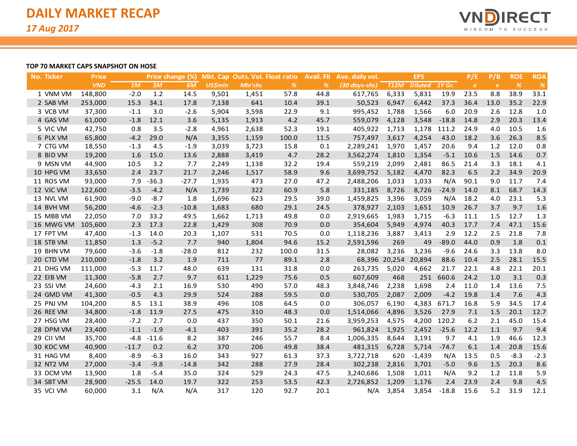

#### **TOP 70 MARKET CAPS SNAPSHOT ON HOSE**

| <b>No. Ticker</b> | <b>Price</b> |         |         | Price change (%) |                |                | Mkt. Cap Outs. Vol. Float ratio | <b>Avail. FII</b> | Ave. daily vol. |                      | <b>EPS</b>     |         | P/E              | P/B              | <b>ROE</b> | <b>ROA</b> |
|-------------------|--------------|---------|---------|------------------|----------------|----------------|---------------------------------|-------------------|-----------------|----------------------|----------------|---------|------------------|------------------|------------|------------|
|                   | <b>VND</b>   | 1M      | 3M      | 6M               | <b>US\$mln</b> | <b>MIn'shs</b> | $\frac{9}{6}$                   | %                 | (30 days-shs)   | <b>T12M</b>          | <b>Diluted</b> | 1Y Gr.  | $\boldsymbol{X}$ | $\boldsymbol{X}$ | %          | %          |
| 1 VNM VM          | 148,800      | $-2.0$  | 1.2     | 14.5             | 9,501          | 1,451          | 57.8                            | 44.8              | 617,765         | 6,333                | 5,831          | 19.9    | 23.5             | 8.8              | 38.9       | 33.1       |
| 2 SAB VM          | 253,000      | 15.3    | 34.1    | 17.8             | 7,138          | 641            | 10.4                            | 39.1              | 50,523          | 6,947                | 6,442          | 37.3    | 36.4             | 13.0             | 35.2       | 22.9       |
| 3 VCB VM          | 37,300       | $-1.1$  | 3.0     | $-2.6$           | 5,904          | 3,598          | 22.9                            | 9.1               | 995,452         | 1,788                | 1,566          | 6.0     | 20.9             | 2.6              | 12.8       | 1.0        |
| 4 GAS VM          | 61,000       | $-1.8$  | 12.1    | 3.6              | 5,135          | 1,913          | 4.2                             | 45.7              | 559,079         | 4,128                | 3,548          | $-18.8$ | 14.8             | 2.9              | 20.3       | 13.4       |
| 5 VIC VM          | 42,750       | 0.8     | 3.5     | $-2.8$           | 4,961          | 2,638          | 52.3                            | 19.1              | 405,922         | 1,713                | 1,178          | 111.2   | 24.9             | 4.0              | 10.5       | 1.6        |
| 6 PLX VM          | 65,800       | $-4.2$  | 29.0    | N/A              | 3,355          | 1,159          | 100.0                           | 11.5              | 757,497         | 3,617                | 4,254          | 43.0    | 18.2             | 3.6              | 26.3       | 8.5        |
| 7 CTG VM          | 18,550       | $-1.3$  | 4.5     | $-1.9$           | 3,039          | 3,723          | 15.8                            | 0.1               | 2,289,241       | 1,970                | 1,457          | 20.6    | 9.4              | $1.2$            | 12.0       | 0.8        |
| 8 BID VM          | 19,200       | 1.6     | 15.0    | 13.6             | 2,888          | 3,419          | 4.7                             | 28.2              | 3,562,274       | 1,810                | 1,354          | $-5.1$  | 10.6             | 1.5              | 14.6       | 0.7        |
| 9 MSN VM          | 44,900       | 10.5    | 3.2     | 7.7              | 2,249          | 1,138          | 32.2                            | 19.4              | 559,219         | 2,099                | 2,481          | 86.5    | 21.4             | 3.3              | 18.1       | 4.1        |
| 10 HPG VM         | 33,650       | 2.4     | 23.7    | 21.7             | 2,246          | 1,517          | 58.9                            | 9.6               | 3,699,752       | 5,182                | 4,470          | 82.3    | 6.5              | 2.2              | 34.9       | 20.9       |
| 11 ROS VM         | 93,000       | 7.9     | $-36.3$ | $-27.7$          | 1,935          | 473            | 27.0                            | 47.2              | 2,488,206       | 1,033                | 1,033          | N/A     | 90.1             | 9.0              | 11.7       | 7.4        |
| 12 VJC VM         | 122,600      | $-3.5$  | $-4.2$  | N/A              | 1,739          | 322            | 60.9                            | 5.8               | 331,185         | 8,726                | 8,726          | $-24.9$ | 14.0             | 8.1              | 68.7       | 14.3       |
| 13 NVL VM         | 61,900       | $-9.0$  | $-8.7$  | 1.8              | 1,696          | 623            | 29.5                            | 39.0              | 1,459,825       | 3,396                | 3,059          | N/A     | 18.2             | 4.0              | 23.1       | 5.3        |
| 14 BVH VM         | 56,200       | $-4.6$  | $-2.3$  | $-10.8$          | 1,683          | 680            | 29.1                            | 24.5              | 378,927         | 2,103                | 1,651          | 10.9    | 26.7             | 3.7              | 9.7        | 1.6        |
| 15 MBB VM         | 22,050       | 7.0     | 33.2    | 49.5             | 1,662          | 1,713          | 49.8                            | 0.0               | 2,919,665       | 1,983                | 1,715          | $-6.3$  | 11.1             | 1.5              | 12.7       | 1.3        |
| 16 MWG VM         | 105,600      | 2.3     | 17.3    | 22.8             | 1,429          | 308            | 70.9                            | 0.0               | 354,604         | 5,949                | 4,974          | 40.3    | 17.7             | 7.4              | 47.1       | 15.6       |
| 17 FPT VM         | 47,400       | $-1.3$  | 14.0    | 20.3             | 1,107          | 531            | 70.5                            | 0.0               | 1,118,236       | 3,887                | 3,413          | 2.9     | 12.2             | 2.5              | 21.8       | 7.8        |
| 18 STB VM         | 11,850       | 1.3     | $-5.2$  | 7.7              | 940            | 1,804          | 94.6                            | 15.2              | 2,591,596       | 269                  | 49             | $-89.0$ | 44.0             | 0.9              | 1.8        | 0.1        |
| 19 BHN VM         | 79,600       | $-3.6$  | $-1.8$  | $-28.0$          | 812            | 232            | 100.0                           | 31.5              | 28,082          | 3,236                | 3,236          | $-9.6$  | 24.6             | 3.3              | 13.8       | 8.0        |
| 20 CTD VM         | 210,000      | $-1.8$  | 3.2     | 1.9              | 711            | 77             | 89.1                            | 2.8               |                 | 68,396 20,254 20,894 |                | 88.6    | 10.4             | 2.5              | 28.1       | 15.5       |
| 21 DHG VM         | 111,000      | $-5.3$  | 11.7    | 48.0             | 639            | 131            | 31.8                            | 0.0               | 263,735         | 5,020                | 4,662          | 21.7    | 22.1             | 4.8              | 22.1       | 20.1       |
| 22 EIB VM         | 11,300       | $-5.8$  | 2.7     | 9.7              | 611            | 1,229          | 75.6                            | 0.5               | 607,609         | 468                  | 251            | 660.6   | 24.2             | 1.0              | 3.1        | 0.3        |
| 23 SSI VM         | 24,600       | $-4.3$  | 2.1     | 16.9             | 530            | 490            | 57.0                            | 48.3              | 3,848,746       | 2,238                | 1,698          | 2.4     | 11.0             | 1.4              | 13.6       | 7.5        |
| 24 GMD VM         | 41,300       | $-0.5$  | 4.3     | 29.9             | 524            | 288            | 59.5                            | 0.0               | 530,705         | 2,087                | 2,009          | $-4.2$  | 19.8             | 1.4              | 7.6        | 4.3        |
| 25 PNJ VM         | 104,200      | 8.5     | 13.1    | 38.9             | 496            | 108            | 64.5                            | 0.0               | 306,057         | 6,190                | 4,383          | 671.7   | 16.8             | 5.9              | 34.5       | 17.4       |
| 26 REE VM         | 34,800       | $-1.8$  | 11.9    | 27.5             | 475            | 310            | 48.3                            | 0.0               | 1,514,066       | 4,896                | 3,526          | 27.9    | 7.1              | 1.5              | 20.1       | 12.7       |
| 27 HSG VM         | 28,400       | $-7.2$  | 2.7     | 0.0              | 437            | 350            | 50.1                            | 21.6              | 3,959,253       | 4,575                | 4,200          | 120.2   | 6.2              | 2.1              | 45.0       | 15.4       |
| 28 DPM VM         | 23,400       | $-1.1$  | $-1.9$  | $-4.1$           | 403            | 391            | 35.2                            | 28.2              | 961,824         | 1,925                | 2,452          | $-25.6$ | 12.2             | 1.1              | 9.7        | 9.4        |
| 29 CII VM         | 35,700       | $-4.8$  | $-11.6$ | 8.2              | 387            | 246            | 55.7                            | 8.4               | 1,006,335       | 8,644                | 3,191          | 9.7     | 4.1              | 1.9              | 46.6       | 12.3       |
| 30 KDC VM         | 40,900       | $-11.7$ | 0.2     | 6.2              | 370            | 206            | 49.8                            | 38.4              | 481,315         | 6,728                | 5,714          | $-74.7$ | 6.1              | 1.4              | 20.8       | 15.6       |
| 31 HAG VM         | 8,400        | $-8.9$  | $-6.3$  | 16.0             | 343            | 927            | 61.3                            | 37.3              | 3,722,718       | 620                  | $-1,439$       | N/A     | 13.5             | 0.5              | $-8.3$     | $-2.3$     |
| 32 NT2 VM         | 27,000       | $-3.4$  | $-9.8$  | $-14.8$          | 342            | 288            | 27.9                            | 28.4              | 302,238         | 2,816                | 3,701          | $-5.0$  | 9.6              | 1.5              | 20.3       | 8.6        |
| 33 DCM VM         | 13,900       | 1.8     | $-5.4$  | 35.0             | 324            | 529            | 24.3                            | 47.5              | 3,240,686       | 1,508                | 1,011          | N/A     | 9.2              | 1.2              | 11.8       | 5.9        |
| 34 SBT VM         | 28,900       | $-25.5$ | 14.0    | 19.7             | 322            | 253            | 53.5                            | 42.3              | 2,726,852       | 1,209                | 1,176          | 2.4     | 23.9             | 2.4              | 9.8        | 4.5        |
| 35 VCI VM         | 60,000       | 3.1     | N/A     | N/A              | 317            | 120            | 92.7                            | 20.1              | N/A             | 3,854                | 3,854          | $-18.8$ | 15.6             | 5.2              | 31.9       | 12.1       |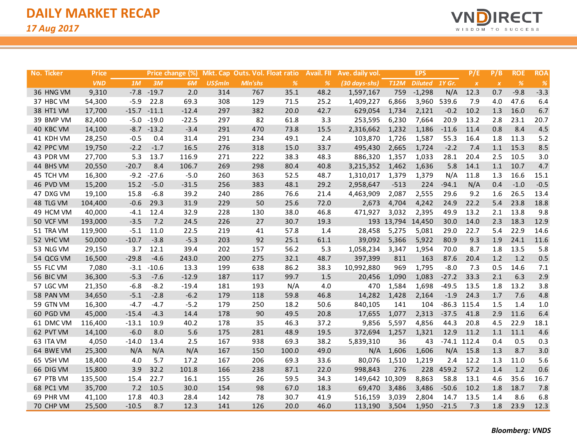

| No. Ticker | <b>Price</b> |         |         | Price change (%) |                |         | Mkt. Cap Outs. Vol. Float ratio | Avail. Fll | Ave. daily vol.         |             | <b>EPS</b>     |         | P/E              | P/B              | <b>ROE</b> | ROA           |
|------------|--------------|---------|---------|------------------|----------------|---------|---------------------------------|------------|-------------------------|-------------|----------------|---------|------------------|------------------|------------|---------------|
|            | <b>VND</b>   | 1M      | 3M      | 6M               | <b>US\$mln</b> | Mln'shs | %                               | %          | $(30 \text{ days-shs})$ | <b>T12M</b> | Diluted 1Y Gr. |         | $\boldsymbol{X}$ | $\boldsymbol{X}$ | $\%$       | $\frac{9}{6}$ |
| 36 HNG VM  | 9,310        | $-7.8$  | $-19.7$ | 2.0              | 314            | 767     | 35.1                            | 48.2       | 1,597,167               | 759         | $-1,298$       | N/A     | 12.3             | 0.7              | $-9.8$     | $-3.3$        |
| 37 HBC VM  | 54,300       | $-5.9$  | 22.8    | 69.3             | 308            | 129     | 71.5                            | 25.2       | 1,409,227               | 6,866       | 3,960          | 539.6   | 7.9              | 4.0              | 47.6       | 6.4           |
| 38 HT1 VM  | 17,700       | $-15.7$ | $-11.1$ | $-12.4$          | 297            | 382     | 20.0                            | 42.7       | 629,054                 | 1,734       | 2,121          | $-0.2$  | 10.2             | 1.3              | 16.0       | 6.7           |
| 39 BMP VM  | 82,400       | $-5.0$  | $-19.0$ | $-22.5$          | 297            | 82      | 61.8                            | 3.3        | 253,595                 | 6,230       | 7,664          | 20.9    | 13.2             | 2.8              | 23.1       | 20.7          |
| 40 KBC VM  | 14,100       | $-8.7$  | $-13.2$ | $-3.4$           | 291            | 470     | 73.8                            | 15.5       | 2,316,662               | 1,232       | 1,186          | $-11.6$ | 11.4             | 0.8              | 8.4        | 4.5           |
| 41 KDH VM  | 28,250       | $-0.5$  | 0.4     | 31.4             | 291            | 234     | 49.1                            | 2.4        | 103,870                 | 1,726       | 1,587          | 55.3    | 16.4             | 1.8              | 11.3       | 5.2           |
| 42 PPC VM  | 19,750       | $-2.2$  | $-1.7$  | 16.5             | 276            | 318     | 15.0                            | 33.7       | 495,430                 | 2,665       | 1,724          | $-2.2$  | 7.4              | 1.1              | 15.3       | 8.5           |
| 43 PDR VM  | 27,700       | 5.3     | 13.7    | 116.9            | 271            | 222     | 38.3                            | 48.3       | 886,320                 | 1,357       | 1,033          | 28.1    | 20.4             | 2.5              | 10.5       | 3.0           |
| 44 BHS VM  | 20,550       | $-20.7$ | 8.4     | 106.7            | 269            | 298     | 80.4                            | 40.8       | 3,215,352               | 1,462       | 1,636          | 5.8     | 14.1             | 1.1              | 10.7       | 4.7           |
| 45 TCH VM  | 16,300       | $-9.2$  | $-27.6$ | $-5.0$           | 260            | 363     | 52.5                            | 48.7       | 1,310,017               | 1,379       | 1,379          | N/A     | 11.8             | 1.3              | 16.6       | 15.1          |
| 46 PVD VM  | 15,200       | 15.2    | $-5.0$  | $-31.5$          | 256            | 383     | 48.1                            | 29.2       | 2,958,647               | $-513$      | 224            | $-94.1$ | N/A              | 0.4              | $-1.0$     | $-0.5$        |
| 47 DXG VM  | 19,100       | 15.8    | $-6.8$  | 39.2             | 240            | 286     | 76.6                            | 21.4       | 4,463,909               | 2,087       | 2,555          | 29.6    | 9.2              | 1.6              | 26.5       | 13.4          |
| 48 TLG VM  | 104,400      | $-0.6$  | 29.3    | 31.9             | 229            | 50      | 25.6                            | 72.0       | 2,673                   | 4,704       | 4,242          | 24.9    | 22.2             | 5.4              | 23.8       | 18.8          |
| 49 HCM VM  | 40,000       | $-4.1$  | 12.4    | 32.9             | 228            | 130     | 38.0                            | 46.8       | 471,927                 | 3,032       | 2,395          | 49.9    | 13.2             | 2.1              | 13.8       | 9.8           |
| 50 VCF VM  | 193,000      | $-3.5$  | 7.2     | 24.5             | 226            | 27      | 30.7                            | 19.3       |                         | 193 13,794  | 14,450         | 30.0    | 14.0             | 2.3              | 18.3       | 12.9          |
| 51 TRA VM  | 119,900      | $-5.1$  | 11.0    | 22.5             | 219            | 41      | 57.8                            | 1.4        | 28,458                  | 5,275       | 5,081          | 29.0    | 22.7             | 5.4              | 22.9       | 14.6          |
| 52 VHC VM  | 50,000       | $-10.7$ | $-3.8$  | $-5.3$           | 203            | 92      | 25.1                            | 61.1       | 39,092                  | 5,366       | 5,922          | 80.9    | 9.3              | 1.9              | 24.1       | 11.6          |
| 53 NLG VM  | 29,150       | 3.7     | 12.1    | 39.4             | 202            | 157     | 56.2                            | 5.3        | 1,058,234               | 3,347       | 1,954          | 70.0    | 8.7              | 1.8              | 13.5       | 5.8           |
| 54 QCG VM  | 16,500       | $-29.8$ | $-4.6$  | 243.0            | 200            | 275     | 32.1                            | 48.7       | 397,399                 | 811         | 163            | 87.6    | 20.4             | 1.2              | 1.2        | 0.5           |
| 55 FLC VM  | 7,080        | $-3.1$  | $-10.6$ | 13.3             | 199            | 638     | 86.2                            | 38.3       | 10,992,880              | 969         | 1,795          | $-8.0$  | 7.3              | 0.5              | 14.6       | 7.1           |
| 56 BIC VM  | 36,300       | $-5.3$  | $-7.6$  | $-12.9$          | 187            | 117     | 99.7                            | 1.5        | 20,456                  | 1,090       | 1,083          | $-27.2$ | 33.3             | 2.1              | 6.3        | 2.9           |
| 57 LGC VM  | 21,350       | $-6.8$  | $-8.2$  | $-19.4$          | 181            | 193     | N/A                             | 4.0        | 470                     | 1,584       | 1,698          | $-49.5$ | 13.5             | 1.8              | 13.2       | 3.8           |
| 58 PAN VM  | 34,650       | $-5.1$  | $-2.8$  | $-6.2$           | 179            | 118     | 59.8                            | 46.8       | 14,282                  | 1,428       | 2,164          | $-1.9$  | 24.3             | 1.7              | 7.6        | 4.8           |
| 59 GTN VM  | 16,300       | $-4.7$  | $-4.7$  | $-5.2$           | 179            | 250     | 18.2                            | 50.6       | 840,105                 | 141         | 104            |         | $-86.3$ 115.4    | 1.5              | 1.4        | 1.0           |
| 60 PGD VM  | 45,000       | $-15.4$ | $-4.3$  | 14.4             | 178            | 90      | 49.5                            | 20.8       | 17,655                  | 1,077       | 2,313          | $-37.5$ | 41.8             | 2.9              | 11.6       | 6.4           |
| 61 DMC VM  | 116,400      | $-13.1$ | 10.9    | 40.2             | 178            | 35      | 46.3                            | 37.2       | 9,856                   | 5,597       | 4,856          | 44.3    | 20.8             | 4.5              | 22.9       | 18.1          |
| 62 PVT VM  | 14,100       | $-6.0$  | 8.0     | 5.6              | 175            | 281     | 48.9                            | 19.5       | 372,694                 | 1,257       | 1,321          | 12.9    | 11.2             | 1.1              | 11.1       | 4.6           |
| 63 ITA VM  | 4,050        | $-14.0$ | 13.4    | 2.5              | 167            | 938     | 69.3                            | 38.2       | 5,839,310               | 36          | 43             |         | $-74.1$ 112.4    | 0.4              | 0.5        | 0.3           |
| 64 BWE VM  | 25,300       | N/A     | N/A     | N/A              | 167            | 150     | 100.0                           | 49.0       | N/A                     | 1,606       | 1,606          | N/A     | 15.8             | 1.3              | 8.7        | 3.0           |
| 65 VSH VM  | 18,400       | 4.0     | 5.7     | 17.2             | 167            | 206     | 69.3                            | 33.6       | 80,076                  | 1,510       | 1,219          | 2.4     | 12.2             | 1.3              | 11.0       | 5.6           |
| 66 DIG VM  | 15,800       | 3.9     | 32.2    | 101.8            | 166            | 238     | 87.1                            | 22.0       | 998,843                 | 276         | 228            | 459.2   | 57.2             | 1.4              | 1.2        | 0.6           |
| 67 PTB VM  | 135,500      | 15.4    | 22.7    | 16.1             | 155            | 26      | 59.5                            | 34.3       | 149,642 10,309          |             | 8,863          | 58.8    | 13.1             | 4.6              | 35.6       | 16.7          |
| 68 PC1 VM  | 35,700       | 7.2     | 10.5    | 30.0             | 154            | 98      | 67.0                            | 18.3       | 69,470                  | 3,486       | 3,486          | $-50.6$ | 10.2             | 1.8              | 18.7       | 7.8           |
| 69 PHR VM  | 41,100       | 17.8    | 40.3    | 28.4             | 142            | 78      | 30.7                            | 41.9       | 516,159                 | 3,039       | 2,804          | 14.7    | 13.5             | 1.4              | 8.6        | 6.8           |
| 70 CHP VM  | 25,500       | $-10.5$ | 8.7     | 12.3             | 141            | 126     | 20.0                            | 46.0       | 113,190                 | 3,504       | 1,950          | $-21.5$ | 7.3              | 1.8              | 23.9       | 12.3          |